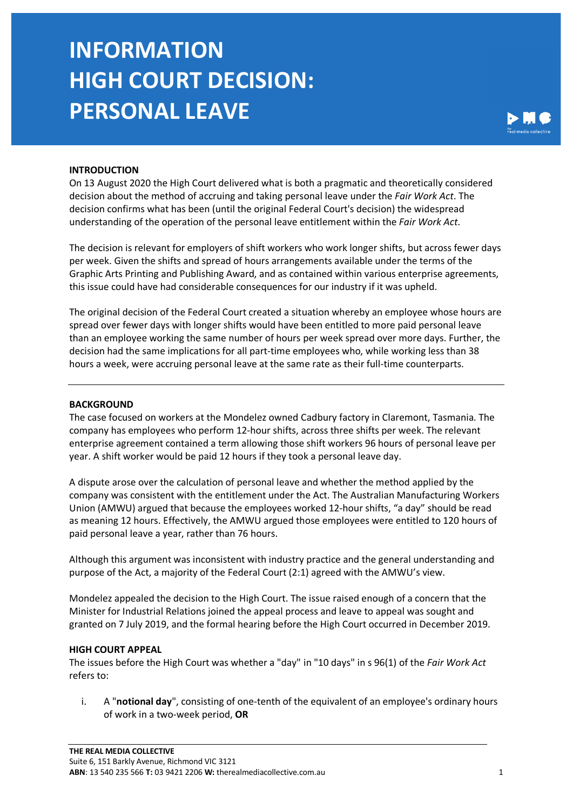# **INFORMATION HIGH COURT DECISION: PERSONAL LEAVE**



### **INTRODUCTION**

On 13 August 2020 the High Court delivered what is both a pragmatic and theoretically considered decision about the method of accruing and taking personal leave under the *Fair Work Act*. The decision confirms what has been (until the original Federal Court's decision) the widespread understanding of the operation of the personal leave entitlement within the *Fair Work Act*.

The decision is relevant for employers of shift workers who work longer shifts, but across fewer days per week. Given the shifts and spread of hours arrangements available under the terms of the Graphic Arts Printing and Publishing Award, and as contained within various enterprise agreements, this issue could have had considerable consequences for our industry if it was upheld.

The original decision of the Federal Court created a situation whereby an employee whose hours are spread over fewer days with longer shifts would have been entitled to more paid personal leave than an employee working the same number of hours per week spread over more days. Further, the decision had the same implications for all part-time employees who, while working less than 38 hours a week, were accruing personal leave at the same rate as their full-time counterparts.

#### **BACKGROUND**

The case focused on workers at the Mondelez owned Cadbury factory in Claremont, Tasmania. The company has employees who perform 12-hour shifts, across three shifts per week. The relevant enterprise agreement contained a term allowing those shift workers 96 hours of personal leave per year. A shift worker would be paid 12 hours if they took a personal leave day.

A dispute arose over the calculation of personal leave and whether the method applied by the company was consistent with the entitlement under the Act. The Australian Manufacturing Workers Union (AMWU) argued that because the employees worked 12-hour shifts, "a day" should be read as meaning 12 hours. Effectively, the AMWU argued those employees were entitled to 120 hours of paid personal leave a year, rather than 76 hours.

Although this argument was inconsistent with industry practice and the general understanding and purpose of the Act, a majority of the Federal Court (2:1) agreed with the AMWU's view.

Mondelez appealed the decision to the High Court. The issue raised enough of a concern that the Minister for Industrial Relations joined the appeal process and leave to appeal was sought and granted on 7 July 2019, and the formal hearing before the High Court occurred in December 2019.

#### **HIGH COURT APPEAL**

The issues before the High Court was whether a "day" in "10 days" in s 96(1) of the *Fair Work Act* refers to:

i. A "**notional day**", consisting of one-tenth of the equivalent of an employee's ordinary hours of work in a two-week period, **OR**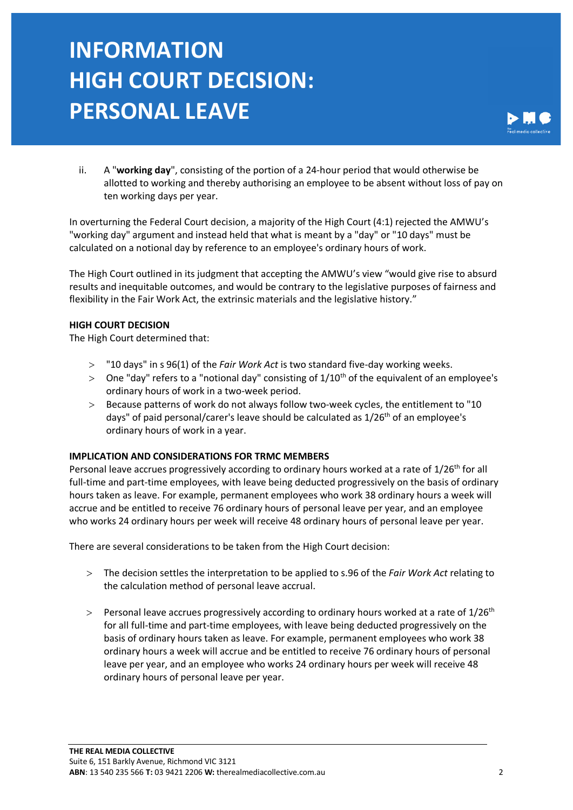# **INFORMATION HIGH COURT DECISION: PERSONAL LEAVE**



ii. A "**working day**", consisting of the portion of a 24-hour period that would otherwise be allotted to working and thereby authorising an employee to be absent without loss of pay on ten working days per year.

In overturning the Federal Court decision, a majority of the High Court (4:1) rejected the AMWU's "working day" argument and instead held that what is meant by a "day" or "10 days" must be calculated on a notional day by reference to an employee's ordinary hours of work.

The High Court outlined in its judgment that accepting the AMWU's view "would give rise to absurd results and inequitable outcomes, and would be contrary to the legislative purposes of fairness and flexibility in the Fair Work Act, the extrinsic materials and the legislative history."

### **HIGH COURT DECISION**

The High Court determined that:

- > "10 days" in s 96(1) of the *Fair Work Act* is two standard five-day working weeks.
- $>$  One "day" refers to a "notional day" consisting of  $1/10<sup>th</sup>$  of the equivalent of an employee's ordinary hours of work in a two-week period.
- > Because patterns of work do not always follow two-week cycles, the entitlement to "10 days" of paid personal/carer's leave should be calculated as  $1/26<sup>th</sup>$  of an employee's ordinary hours of work in a year.

### **IMPLICATION AND CONSIDERATIONS FOR TRMC MEMBERS**

Personal leave accrues progressively according to ordinary hours worked at a rate of 1/26<sup>th</sup> for all full-time and part-time employees, with leave being deducted progressively on the basis of ordinary hours taken as leave. For example, permanent employees who work 38 ordinary hours a week will accrue and be entitled to receive 76 ordinary hours of personal leave per year, and an employee who works 24 ordinary hours per week will receive 48 ordinary hours of personal leave per year.

There are several considerations to be taken from the High Court decision:

- > The decision settles the interpretation to be applied to s.96 of the *Fair Work Act* relating to the calculation method of personal leave accrual.
- $>$  Personal leave accrues progressively according to ordinary hours worked at a rate of 1/26<sup>th</sup> for all full-time and part-time employees, with leave being deducted progressively on the basis of ordinary hours taken as leave. For example, permanent employees who work 38 ordinary hours a week will accrue and be entitled to receive 76 ordinary hours of personal leave per year, and an employee who works 24 ordinary hours per week will receive 48 ordinary hours of personal leave per year.